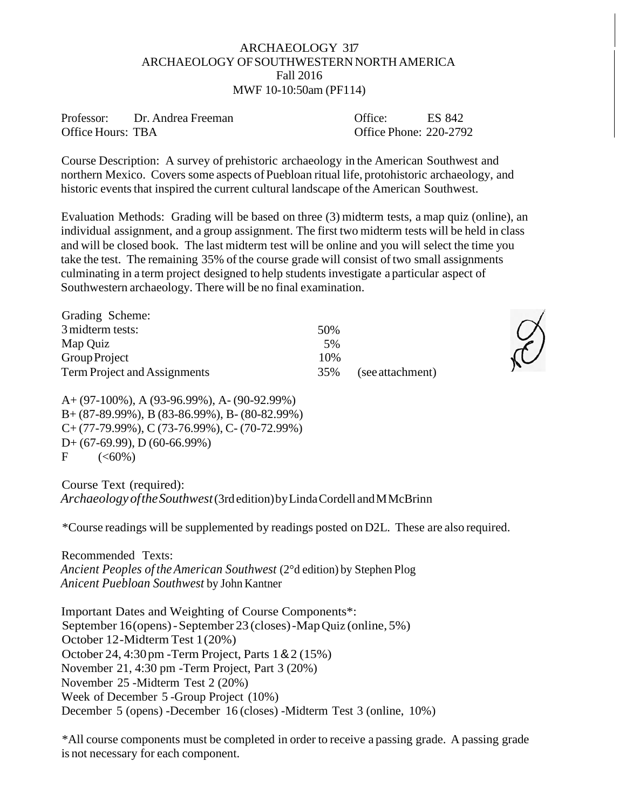## ARCHAEOLOGY 317 ARCHAEOLOGY OFSOUTHWESTERNNORTH AMERICA Fall 2016 MWF 10-10:50am (PF114)

Professor: Dr. Andrea Freeman Office Hours: TBA

Course Description: A survey of prehistoric archaeology in the American Southwest and northern Mexico. Covers some aspects of Puebloan ritual life, protohistoric archaeology, and historic events that inspired the current cultural landscape of the American Southwest.

Evaluation Methods: Grading will be based on three (3) midterm tests, a map quiz (online), an individual assignment, and a group assignment. The first two midterm tests will be held in class and will be closed book. The last midterm test will be online and you will select the time you take the test. The remaining 35% of the course grade will consist of two small assignments culminating in a term project designed to help students investigate a particular aspect of Southwestern archaeology. There will be no final examination.

| Grading Scheme:              |      |                  |
|------------------------------|------|------------------|
| 3 midterm tests:             | .50% |                  |
| Map Quiz                     | .5%  |                  |
| Group Project                | 10%  |                  |
| Term Project and Assignments | 35%  | (see attachment) |

A+ (97-100%), A (93-96.99%), A- (90-92.99%) B+ (87-89.99%), B (83-86.99%), B- (80-82.99%) C+ (77-79.99%), C (73-76.99%), C- (70-72.99%) D+ (67-69.99), D (60-66.99%)  $F = (\leq 60\%)$ 

Course Text (required): *Archaeology oftheSouthwest*(3rdedition)byLindaCordell andMMcBrinn

\*Course readings will be supplemented by readings posted on D2L. These are also required.

Recommended Texts: *Ancient Peoples of theAmerican Southwest* (2°d edition) by Stephen Plog *Anicent Puebloan Southwest* by John Kantner

Important Dates and Weighting of Course Components\*: September 16(opens)-September 23 (closes)-MapQuiz (online, 5%) October 12-Midterm Test 1(20%) October 24, 4:30pm -Term Project, Parts 1&2 (15%) November 21, 4:30 pm -Term Project, Part 3 (20%) November 25 -Midterm Test 2 (20%) Week of December 5 -Group Project (10%) December 5 (opens) -December 16 (closes) -Midterm Test 3 (online, 10%)

\*All course components must be completed in order to receive a passing grade. A passing grade is not necessary for each component.



Office: ES 842 Office Phone: 220-2792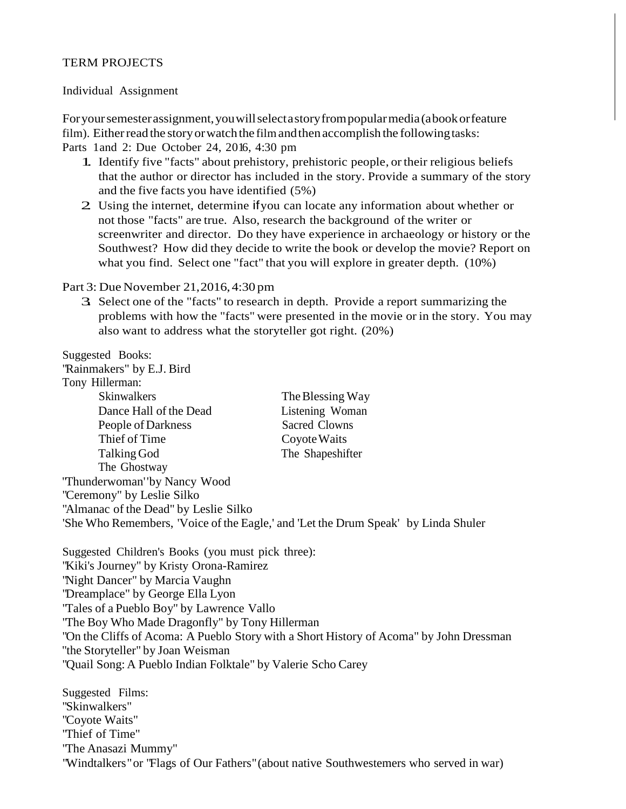#### TERM PROJECTS

#### Individual Assignment

Foryoursemesterassignment,youwillselectastoryfrompopularmedia(abookorfeature film). Either read the story or watch the film and then accomplish the following tasks:

Parts 1and 2: Due October 24, 2016, 4:30 pm

- 1. Identify five "facts" about prehistory, prehistoric people, or their religious beliefs that the author or director has included in the story. Provide a summary of the story and the five facts you have identified (5%)
- 2. Using the internet, determine ifyou can locate any information about whether or not those "facts" are true. Also, research the background of the writer or screenwriter and director. Do they have experience in archaeology or history or the Southwest? How did they decide to write the book or develop the movie? Report on what you find. Select one "fact" that you will explore in greater depth. (10%)

#### Part 3: Due November 21,2016,4:30 pm

3. Select one of the "facts" to research in depth. Provide <sup>a</sup> report summarizing the problems with how the "facts" were presented in the movie or in the story. You may also want to address what the storyteller got right. (20%)

Suggested Books:

"Rainmakers" by E.J. Bird

| Tony Hillerman:                                                                    |                  |
|------------------------------------------------------------------------------------|------------------|
| <b>Skinwalkers</b>                                                                 | The Blessing Way |
| Dance Hall of the Dead                                                             | Listening Woman  |
| People of Darkness                                                                 | Sacred Clowns    |
| Thief of Time                                                                      | Coyote Waits     |
| Talking God                                                                        | The Shapeshifter |
| The Ghostway                                                                       |                  |
| 'Thunderwoman''by Nancy Wood                                                       |                  |
| "Ceremony" by Leslie Silko                                                         |                  |
| "Almanac of the Dead" by Leslie Silko                                              |                  |
| 'She Who Remembers, 'Voice of the Eagle,' and 'Let the Drum Speak' by Linda Shuler |                  |

Suggested Children's Books (you must pick three): "Kiki's Journey" by Kristy Orona-Ramirez "Night Dancer" by Marcia Vaughn "Dreamplace" by George Ella Lyon "Tales of a Pueblo Boy" by Lawrence Vallo "The Boy Who Made Dragonfly" by Tony Hillerman "On the Cliffs of Acoma: A Pueblo Story with a Short History of Acoma" by John Dressman ''the Storyteller" by Joan Weisman "Quail Song: A Pueblo Indian Folktale" by Valerie Scho Carey

Suggested Films: "Skinwalkers" "Coyote Waits" "Thief of Time" "The Anasazi Mummy" "Windtalkers"or "Flags of Our Fathers"(about native Southwestemers who served in war)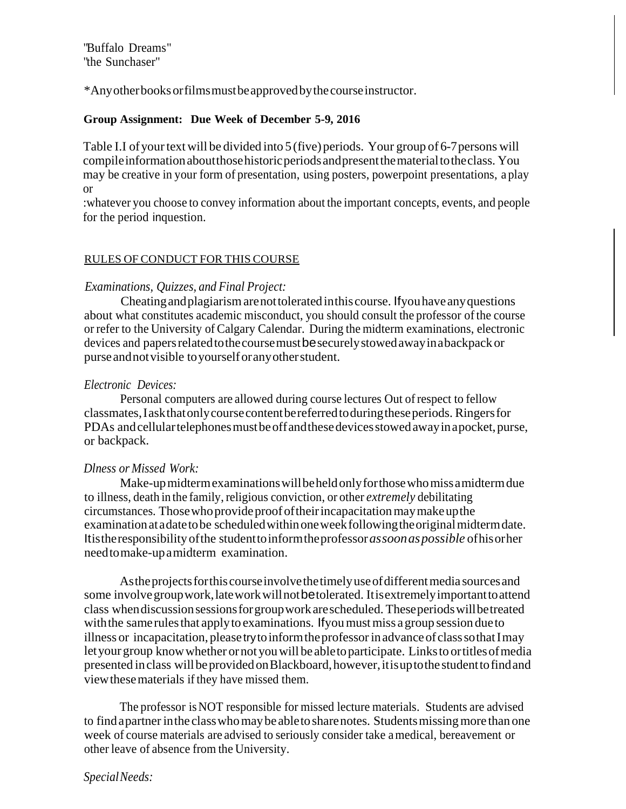"Buffalo Dreams" "the Sunchaser"

\*Anyotherbooksorfilmsmustbeapprovedbythecourseinstructor.

## **Group Assignment: Due Week of December 5-9, 2016**

Table I.I of your text will be divided into 5 (five) periods. Your group of 6-7 persons will compileinformationaboutthosehistoricperiodsandpresentthematerialtotheclass. You may be creative in your form of presentation, using posters, powerpoint presentations, a play or

:whatever you choose to convey information about the important concepts, events, and people for the period inquestion.

### RULES OF CONDUCT FOR THIS COURSE

## *Examinations, Quizzes, and Final Project:*

Cheatingandplagiarismarenottoleratedinthiscourse. Ifyouhaveanyquestions about what constitutes academic misconduct, you should consult the professor of the course or refer to the University of Calgary Calendar. During the midterm examinations, electronic devices and papersrelatedtothecoursemustbesecurelystowedawayinabackpack or purseandnotvisible toyourselforanyotherstudent.

## *Electronic Devices:*

Personal computers are allowed during course lectures Out of respect to fellow classmates,Iaskthatonlycoursecontentbereferredtoduringtheseperiods. Ringersfor PDAs and cellular telephones must be off and these devices stowed away in a pocket, purse, or backpack.

## *Dlness or Missed Work:*

Make-upmidtermexaminationswillbeheldonlyforthosewhomissamidtermdue to illness, death in the family, religious conviction, or other *extremely* debilitating circumstances. Those who provide proof of their incapacitation may make up the examinationatadatetobe scheduledwithinoneweekfollowingtheoriginalmidtermdate. Itistheresponsibilityofthe studenttoinformtheprofessor*assoonaspossible* ofhisorher needtomake-upamidterm examination.

As the projects for this course involve the timely use of different media sources and some involvegroupwork,lateworkwillnotbetolerated. Itisextremelyimportanttoattend class whendiscussionsessionsforgroupworkarescheduled. Theseperiodswillbetreated with the same rules that apply to examinations. If you must miss a group session due to illness or incapacitation, please try to inform the professor in advance of class sothat I may letyour group knowwhether ornot youwill be abletoparticipate. Linksto ortitlesofmedia presented in class will be provided on Blackboard, however, it is up to the student to find and viewthesematerials ifthey have missed them.

The professor isNOT responsible for missed lecture materials. Students are advised to find a partner in the class who may be able to share notes. Students missing more than one week of course materials are advised to seriously consider take amedical, bereavement or other leave of absence from the University.

# *SpecialNeeds:*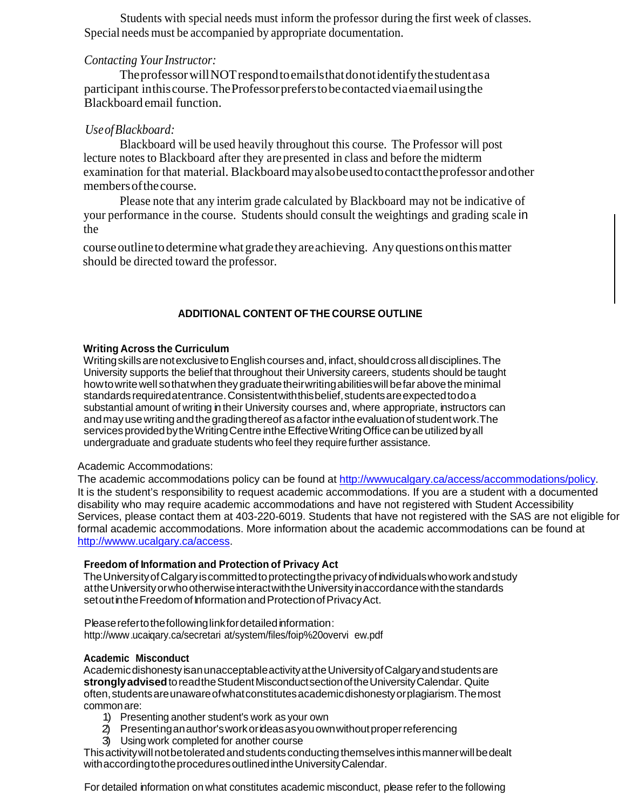Students with special needs must inform the professor during the first week of classes. Special needs must be accompanied by appropriate documentation.

## *Contacting YourInstructor:*

The professor will NOT respond to emails that donot identify the student as a participant inthiscourse. TheProfessorpreferstobecontactedviaemailusingthe Blackboard email function.

# *UseofBlackboard:*

Blackboard will be used heavily throughout this course. The Professor will post lecture notes to Blackboard after they are presented in class and before the midterm examination for that material. Blackboardmayalsobeusedtocontacttheprofessor andother membersofthecourse.

Please note that any interim grade calculated by Blackboard may not be indicative of your performance in the course. Students should consult the weightings and grading scale in the

course outline to determine what grade they are achieving. Any questions on this matter should be directed toward the professor.

## **ADDITIONAL CONTENT OFTHE COURSE OUTLINE**

### **Writing Across the Curriculum**

WritingskillsarenotexclusivetoEnglishcourses and, infact, shouldcrossalldisciplines.The University supports the belief that throughout their University careers, students should be taught how to write well so that when they graduate their writing abilities will befar above the minimal standardsrequiredatentrance.Consistentwiththisbelief,studentsareexpectedtodoa substantial amount of writing in their University courses and, where appropriate, instructors can and may use writing and the grading thereof as a factor inthe evaluation of student work. The services provided by the Writing Centre inthe Effective Writing Office can be utilized by all undergraduate and graduate students who feel they require further assistance.

#### Academic Accommodations:

The academic accommodations policy can be found at [http://wwwucalgary.ca/access/accommodations/policy.](http://wwwucalgary.ca/access/accommodations/policy) It is the student's responsibility to request academic accommodations. If you are a student with a documented disability who may require academic accommodations and have not registered with Student Accessibility Services, please contact them at 403-220-6019. Students that have not registered with the SAS are not eligible for formal academic accommodations. More information about the academic accommodations can be found at [http://wwww.ucalgary.ca/access.](http://wwww.ucalgary.ca/access)

#### **Freedom of Information and Protection of Privacy Act**

TheUniversityofCalgaryiscommittedtoprotectingtheprivacyofindividualswhoworkandstudy attheUniversityorwhootherwiseinteractwiththeUniversityinaccordancewiththestandards setout in the Freedom of Information and Protection of Privacy Act.

Please refertothefollowing linkfordetailed information: [http://www.u](http://www/)caiqary.ca/secretari at/system/files/foip%20overvi ew.pdf

#### **Academic Misconduct**

Academicdishonesty isanunacceptableactivityattheUniversityofCalgaryandstudentsare **stronglyadvised**toreadtheStudentMisconductsectionoftheUniversityCalendar. Quite often,studentsareunawareofwhatconstitutesacademicdishonestyorplagiarism.Themost commonare:

- 1) Presenting another student's work as your own
- 2) Presentinganauthor'sworkorideasasyouownwithoutproperreferencing
- 3) Using work completed for another course

This activity will not be tolerated and students conducting themselves inthis manner will be dealt withaccordingtotheproceduresoutlinedintheUniversityCalendar.

For detailed information on what constitutes academic misconduct, please refer to the following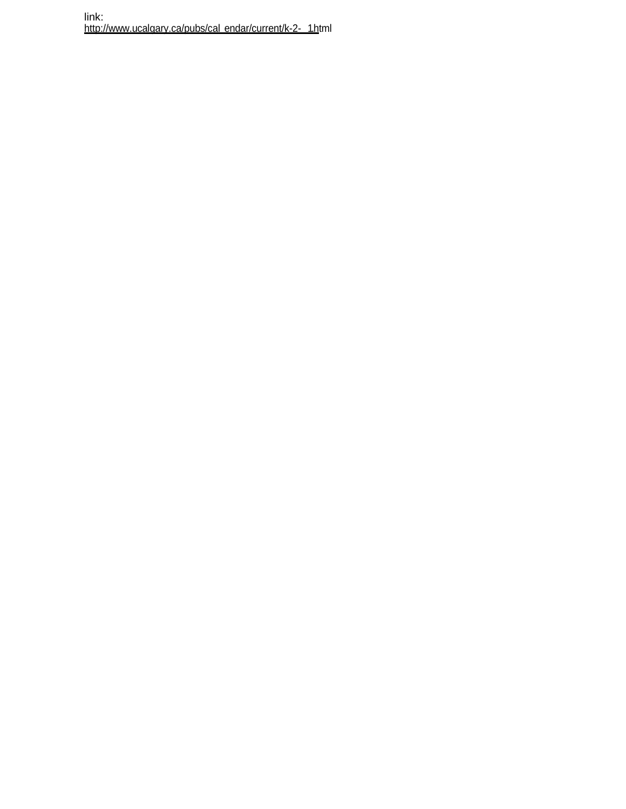link: <http://www.ucalgary.ca/pubs/cal> endar/current/k-2- 1.html